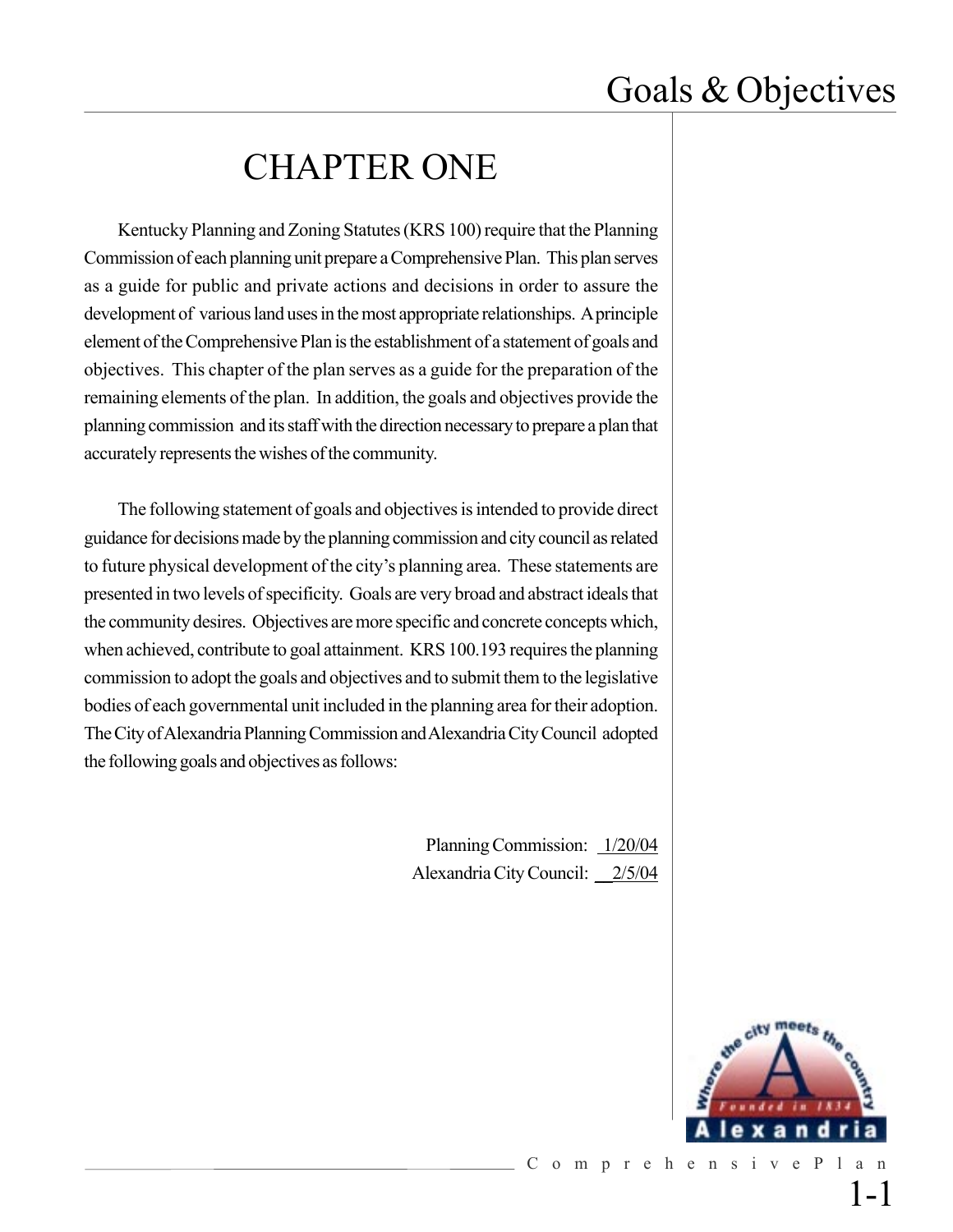## CHAPTER ONE

Kentucky Planning and Zoning Statutes (KRS 100) require that the Planning Commission of each planning unit prepare a Comprehensive Plan. This plan serves as a guide for public and private actions and decisions in order to assure the development of various land uses in the most appropriate relationships. A principle element of the Comprehensive Plan is the establishment of a statement of goals and objectives. This chapter of the plan serves as a guide for the preparation of the remaining elements of the plan. In addition, the goals and objectives provide the planning commission and its staff with the direction necessary to prepare a plan that accurately represents the wishes of the community.

The following statement of goals and objectives is intended to provide direct guidance for decisions made by the planning commission and city council as related to future physical development of the city's planning area. These statements are presented in two levels of specificity. Goals are very broad and abstract ideals that the community desires. Objectives are more specific and concrete concepts which, when achieved, contribute to goal attainment. KRS 100.193 requires the planning commission to adopt the goals and objectives and to submit them to the legislative bodies of each governmental unit included in the planning area for their adoption. The City of Alexandria Planning Commission and Alexandria City Council adopted the following goals and objectives as follows:

> Planning Commission:  $1/20/04$ Alexandria City Council: \_\_2/5/04



ComprehensivePlan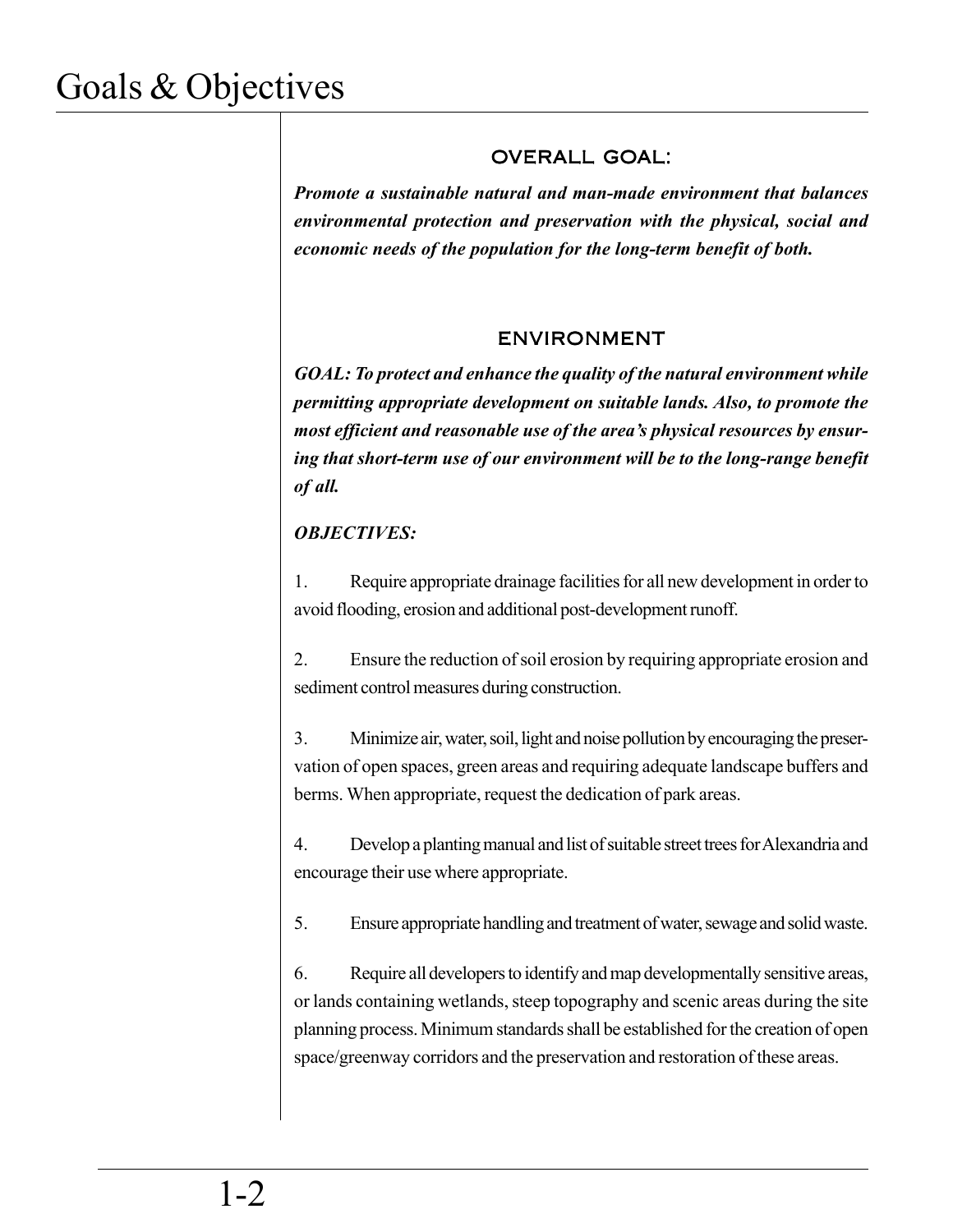### OVERALL GOAL:

*Promote a sustainable natural and man-made environment that balances environmental protection and preservation with the physical, social and economic needs of the population for the long-term benefit of both.*

### ENVIRONMENT

*GOAL: To protect and enhance the quality of the natural environment while permitting appropriate development on suitable lands. Also, to promote the most efficient and reasonable use of the area's physical resources by ensuring that short-term use of our environment will be to the long-range benefit of all.*

### *OBJECTIVES:*

1. Require appropriate drainage facilities for all new development in order to avoid flooding, erosion and additional post-development runoff.

2. Ensure the reduction of soil erosion by requiring appropriate erosion and sediment control measures during construction.

3. Minimize air, water, soil, light and noise pollution by encouraging the preservation of open spaces, green areas and requiring adequate landscape buffers and berms. When appropriate, request the dedication of park areas.

4. Develop a planting manual and list of suitable street trees for Alexandria and encourage their use where appropriate.

5. Ensure appropriate handling and treatment of water, sewage and solid waste.

6. Require all developers to identify and map developmentally sensitive areas, or lands containing wetlands, steep topography and scenic areas during the site planning process. Minimum standards shall be established for the creation of open space/greenway corridors and the preservation and restoration of these areas.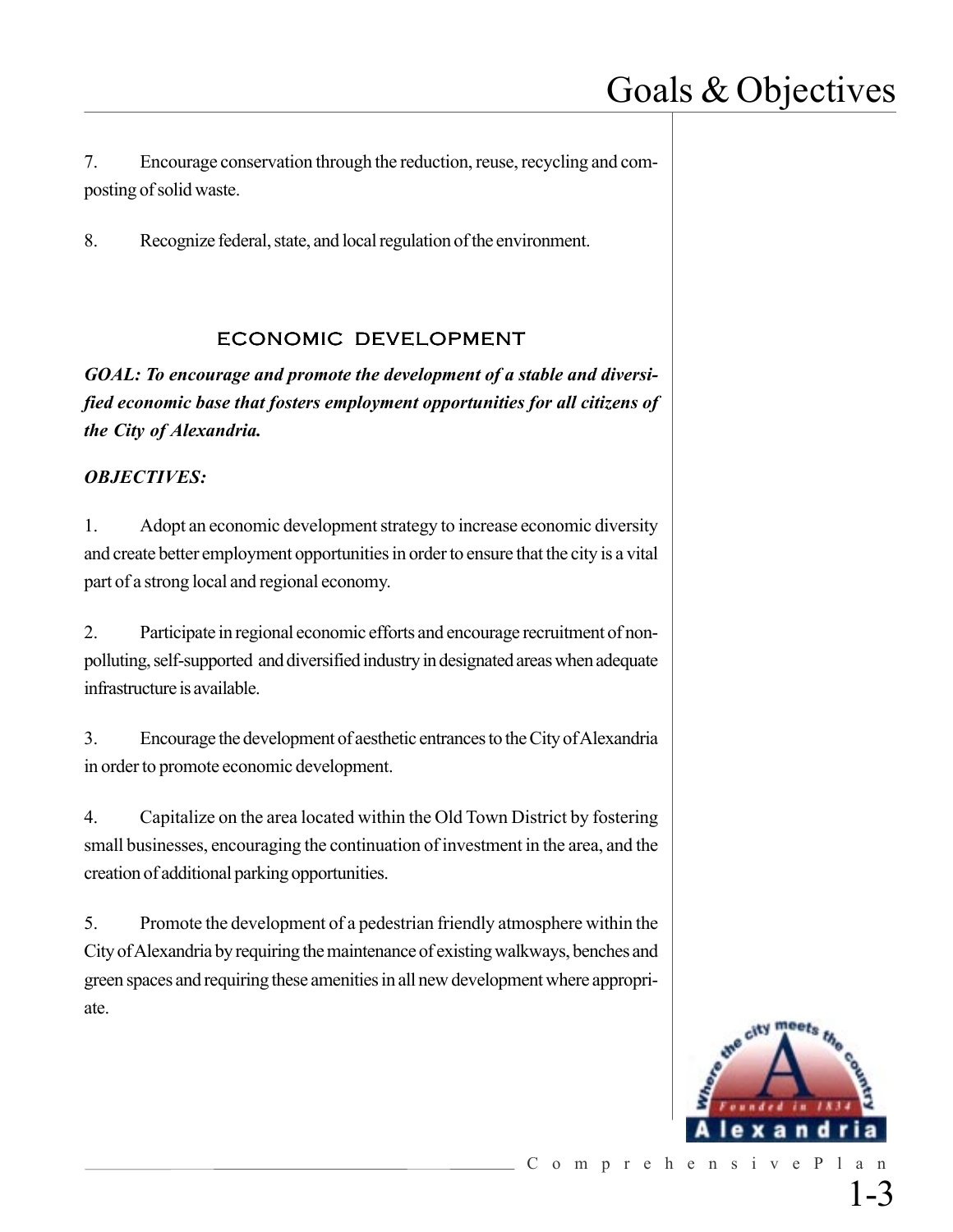7. Encourage conservation through the reduction, reuse, recycling and composting of solid waste.

8. Recognize federal, state, and local regulation of the environment.

### ECONOMIC DEVELOPMENT

*GOAL: To encourage and promote the development of a stable and diversified economic base that fosters employment opportunities for all citizens of the City of Alexandria.*

#### *OBJECTIVES:*

1. Adopt an economic development strategy to increase economic diversity and create better employment opportunities in order to ensure that the city is a vital part of a strong local and regional economy.

2. Participate in regional economic efforts and encourage recruitment of nonpolluting, self-supported and diversified industry in designated areas when adequate infrastructure is available.

3. Encourage the development of aesthetic entrances to the City of Alexandria in order to promote economic development.

4. Capitalize on the area located within the Old Town District by fostering small businesses, encouraging the continuation of investment in the area, and the creation of additional parking opportunities.

5. Promote the development of a pedestrian friendly atmosphere within the City of Alexandria by requiring the maintenance of existing walkways, benches and green spaces and requiring these amenities in all new development where appropriate.



1-3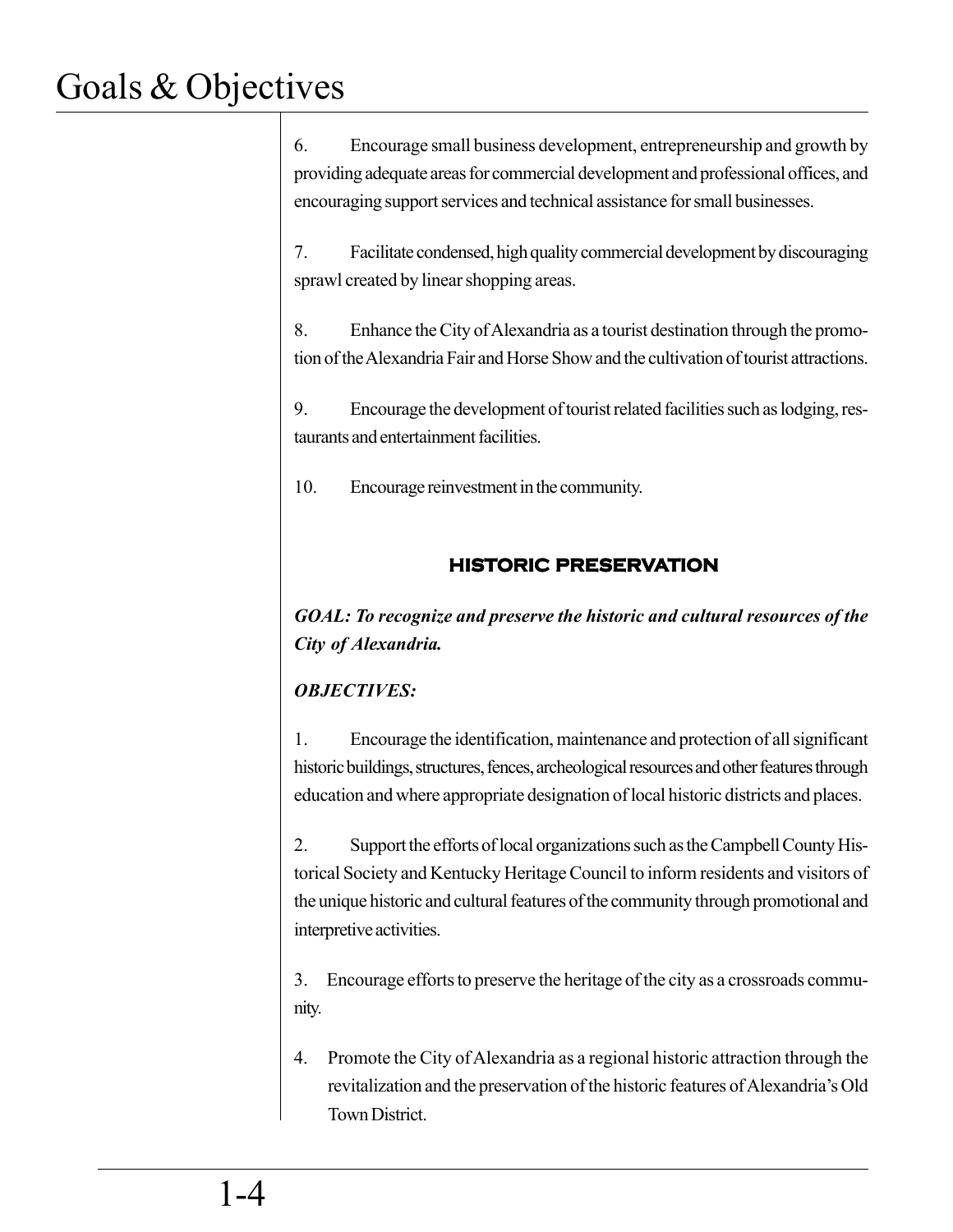6. Encourage small business development, entrepreneurship and growth by providing adequate areas for commercial development and professional offices, and encouraging support services and technical assistance for small businesses.

7. Facilitate condensed, high quality commercial development by discouraging sprawl created by linear shopping areas.

8. Enhance the City of Alexandria as a tourist destination through the promotion of the Alexandria Fair and Horse Show and the cultivation of tourist attractions.

9. Encourage the development of tourist related facilities such as lodging, restaurants and entertainment facilities.

10. Encourage reinvestment in the community.

### **HISTORIC PRESERVATION**

*GOAL: To recognize and preserve the historic and cultural resources of the City of Alexandria.*

## *OBJECTIVES:*

1. Encourage the identification, maintenance and protection of all significant historic buildings, structures, fences, archeological resources and other features through education and where appropriate designation of local historic districts and places.

2. Support the efforts of local organizations such as the Campbell County Historical Society and Kentucky Heritage Council to inform residents and visitors of the unique historic and cultural features of the community through promotional and interpretive activities.

3. Encourage efforts to preserve the heritage of the city as a crossroads community.

4. Promote the City of Alexandria as a regional historic attraction through the revitalization and the preservation of the historic features of Alexandria's Old Town District.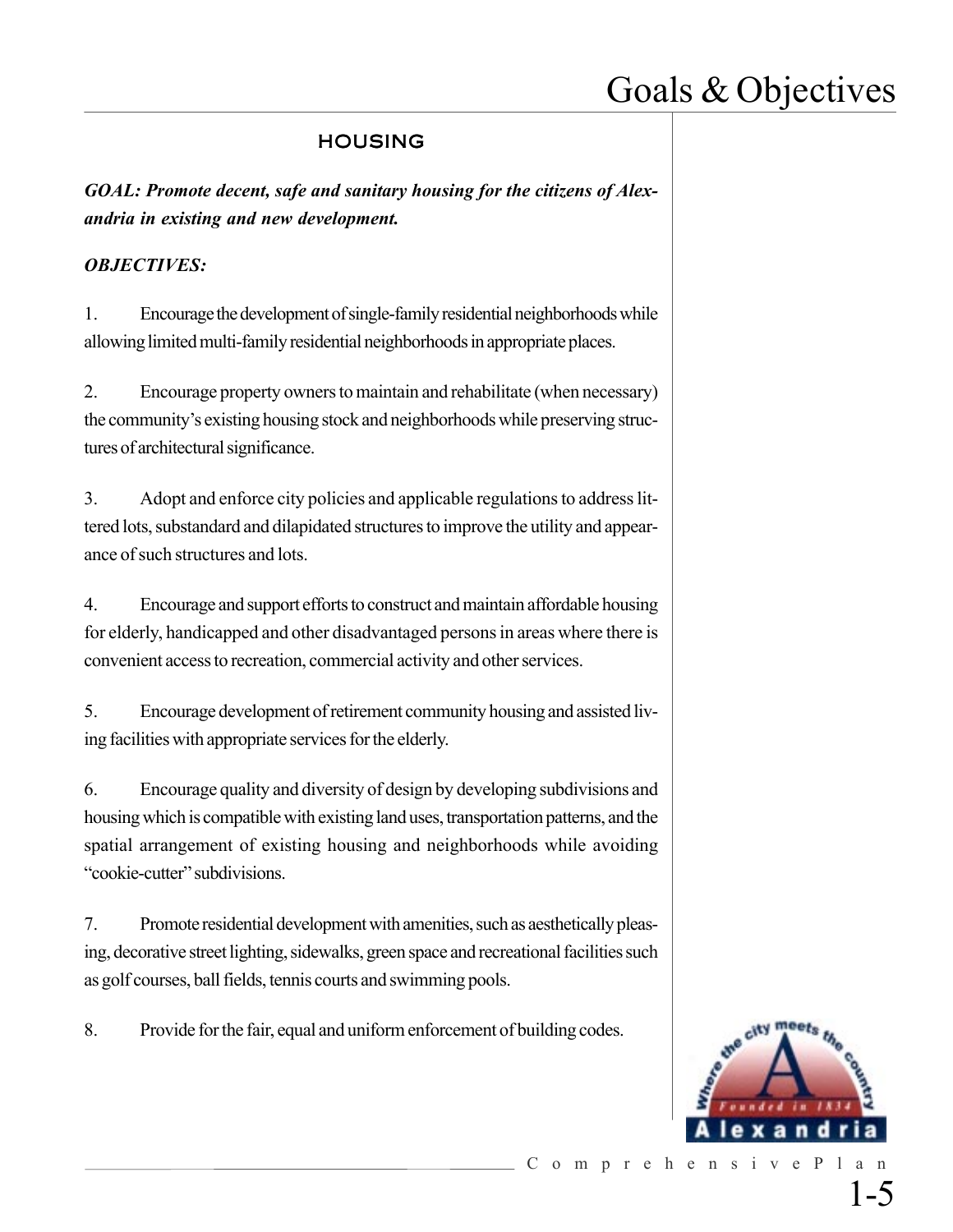### HOUSING

*GOAL: Promote decent, safe and sanitary housing for the citizens of Alexandria in existing and new development.*

#### *OBJECTIVES:*

1. Encourage the development of single-family residential neighborhoods while allowing limited multi-family residential neighborhoods in appropriate places.

2. Encourage property owners to maintain and rehabilitate (when necessary) the community's existing housing stock and neighborhoods while preserving structures of architectural significance.

3. Adopt and enforce city policies and applicable regulations to address littered lots, substandard and dilapidated structures to improve the utility and appearance of such structures and lots.

4. Encourage and support efforts to construct and maintain affordable housing for elderly, handicapped and other disadvantaged persons in areas where there is convenient access to recreation, commercial activity and other services.

5. Encourage development of retirement community housing and assisted living facilities with appropriate services for the elderly.

6. Encourage quality and diversity of design by developing subdivisions and housing which is compatible with existing land uses, transportation patterns, and the spatial arrangement of existing housing and neighborhoods while avoiding "cookie-cutter" subdivisions.

7. Promote residential development with amenities, such as aesthetically pleasing, decorative street lighting, sidewalks, green space and recreational facilities such as golf courses, ball fields, tennis courts and swimming pools.

8. Provide for the fair, equal and uniform enforcement of building codes.



1-5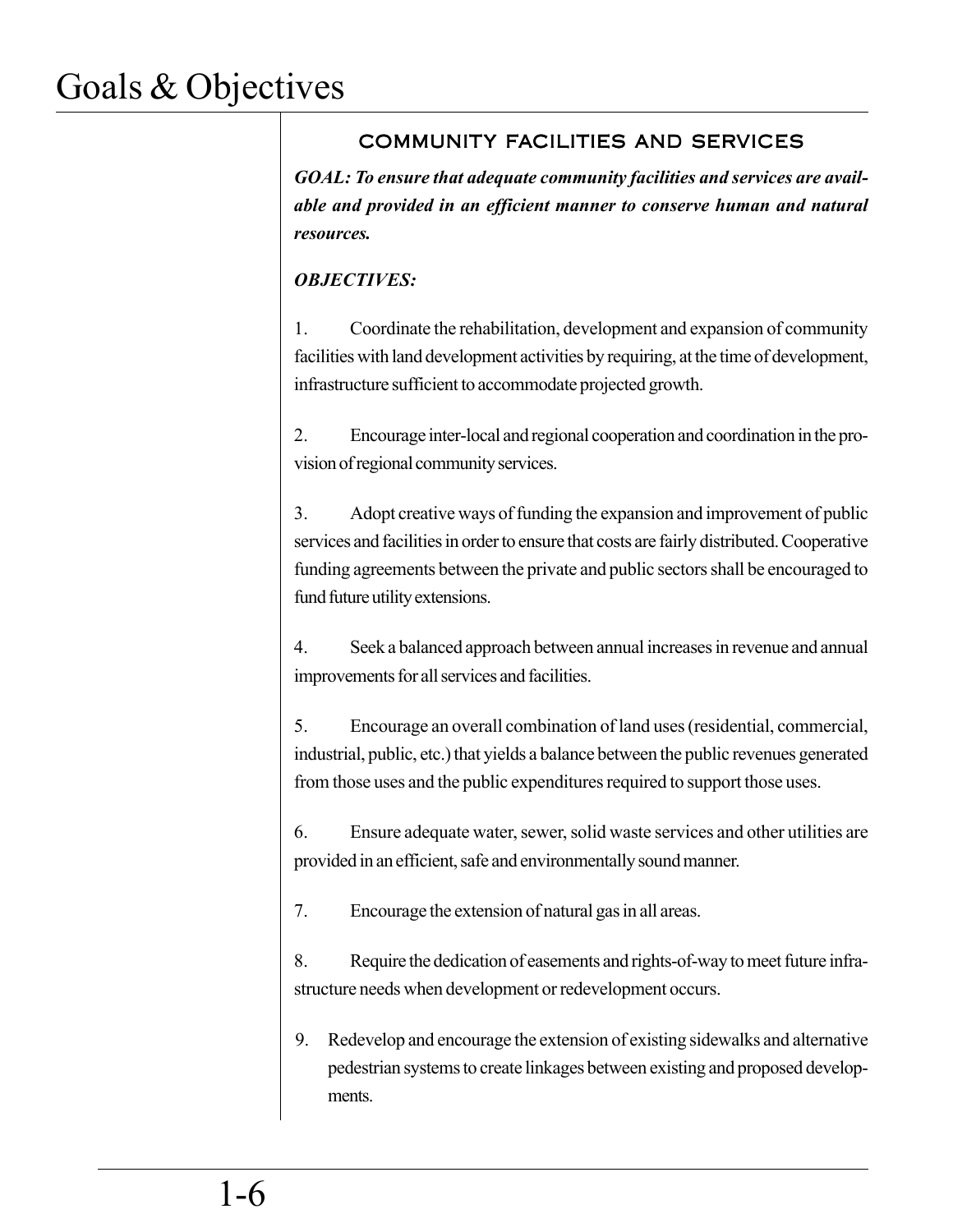## COMMUNITY FACILITIES AND SERVICES

*GOAL: To ensure that adequate community facilities and services are available and provided in an efficient manner to conserve human and natural resources.*

### *OBJECTIVES:*

1. Coordinate the rehabilitation, development and expansion of community facilities with land development activities by requiring, at the time of development, infrastructure sufficient to accommodate projected growth.

2. Encourage inter-local and regional cooperation and coordination in the provision of regional community services.

3. Adopt creative ways of funding the expansion and improvement of public services and facilities in order to ensure that costs are fairly distributed. Cooperative funding agreements between the private and public sectors shall be encouraged to fund future utility extensions.

4. Seek a balanced approach between annual increases in revenue and annual improvements for all services and facilities.

5. Encourage an overall combination of land uses (residential, commercial, industrial, public, etc.) that yields a balance between the public revenues generated from those uses and the public expenditures required to support those uses.

6. Ensure adequate water, sewer, solid waste services and other utilities are provided in an efficient, safe and environmentally sound manner.

7. Encourage the extension of natural gas in all areas.

8. Require the dedication of easements and rights-of-way to meet future infrastructure needs when development or redevelopment occurs.

9. Redevelop and encourage the extension of existing sidewalks and alternative pedestrian systems to create linkages between existing and proposed developments.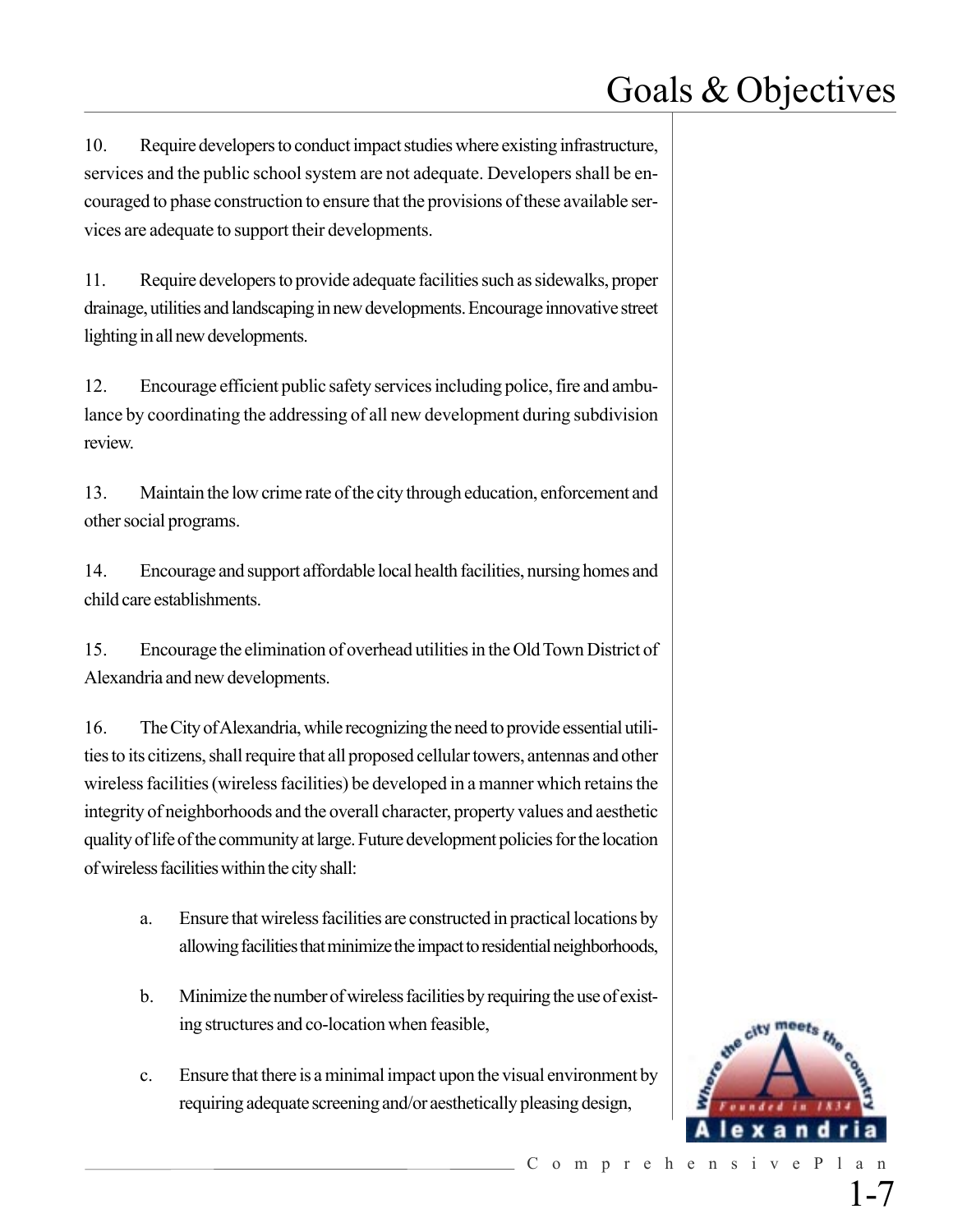10. Require developers to conduct impact studies where existing infrastructure, services and the public school system are not adequate. Developers shall be encouraged to phase construction to ensure that the provisions of these available services are adequate to support their developments.

11. Require developers to provide adequate facilities such as sidewalks, proper drainage, utilities and landscaping in new developments. Encourage innovative street lighting in all new developments.

12. Encourage efficient public safety services including police, fire and ambulance by coordinating the addressing of all new development during subdivision review.

13. Maintain the low crime rate of the city through education, enforcement and other social programs.

14. Encourage and support affordable local health facilities, nursing homes and child care establishments.

15. Encourage the elimination of overhead utilities in the Old Town District of Alexandria and new developments.

16. The City of Alexandria, while recognizing the need to provide essential utilities to its citizens, shall require that all proposed cellular towers, antennas and other wireless facilities (wireless facilities) be developed in a manner which retains the integrity of neighborhoods and the overall character, property values and aesthetic quality of life of the community at large. Future development policies for the location of wireless facilities within the city shall:

- a. Ensure that wireless facilities are constructed in practical locations by allowing facilities that minimize the impact to residential neighborhoods,
- b. Minimize the number of wireless facilities by requiring the use of existing structures and co-location when feasible,
- c. Ensure that there is a minimal impact upon the visual environment by requiring adequate screening and/or aesthetically pleasing design,

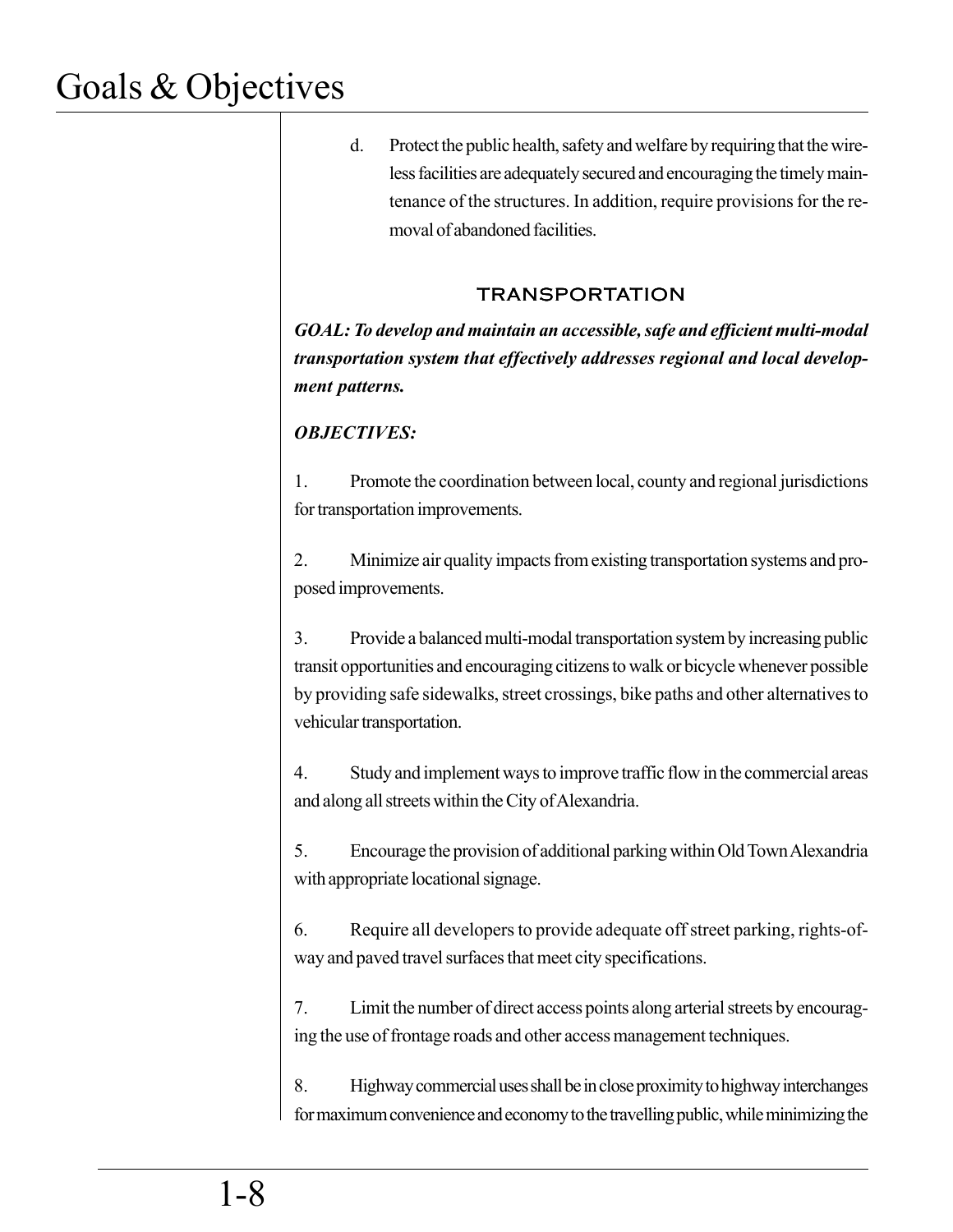d. Protect the public health, safety and welfare by requiring that the wireless facilities are adequately secured and encouraging the timely maintenance of the structures. In addition, require provisions for the removal of abandoned facilities.

### TRANSPORTATION

*GOAL: To develop and maintain an accessible, safe and efficient multi-modal transportation system that effectively addresses regional and local development patterns.*

### *OBJECTIVES:*

1. Promote the coordination between local, county and regional jurisdictions for transportation improvements.

2. Minimize air quality impacts from existing transportation systems and proposed improvements.

3. Provide a balanced multi-modal transportation system by increasing public transit opportunities and encouraging citizens to walk or bicycle whenever possible by providing safe sidewalks, street crossings, bike paths and other alternatives to vehicular transportation.

4. Study and implement ways to improve traffic flow in the commercial areas and along all streets within the City of Alexandria.

5. Encourage the provision of additional parking within Old Town Alexandria with appropriate locational signage.

6. Require all developers to provide adequate off street parking, rights-ofway and paved travel surfaces that meet city specifications.

7. Limit the number of direct access points along arterial streets by encouraging the use of frontage roads and other access management techniques.

8. Highway commercial uses shall be in close proximity to highway interchanges for maximum convenience and economy to the travelling public, while minimizing the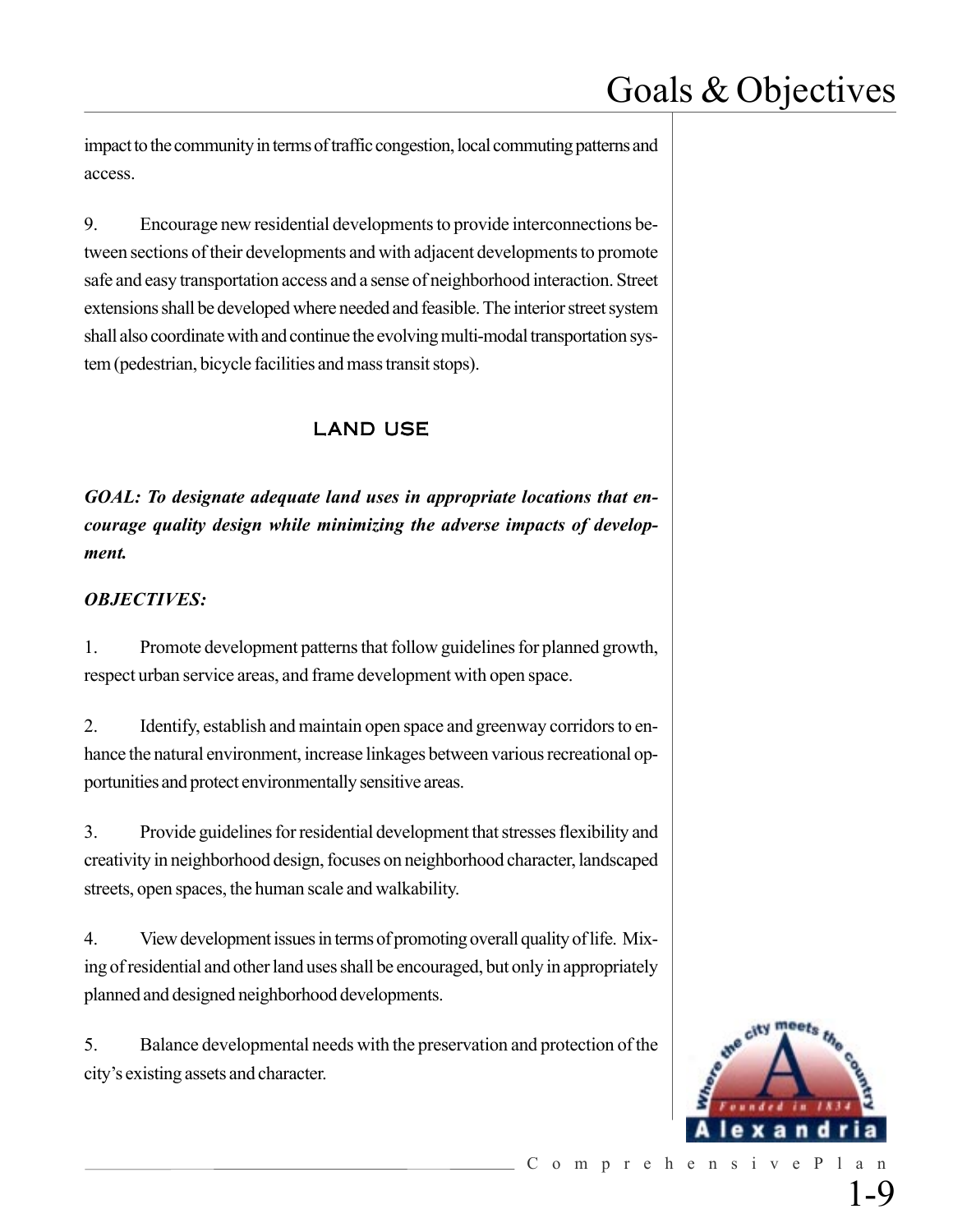impact to the community in terms of traffic congestion, local commuting patterns and access.

9. Encourage new residential developments to provide interconnections between sections of their developments and with adjacent developments to promote safe and easy transportation access and a sense of neighborhood interaction. Street extensions shall be developed where needed and feasible. The interior street system shall also coordinate with and continue the evolving multi-modal transportation system (pedestrian, bicycle facilities and mass transit stops).

### LAND USE

*GOAL: To designate adequate land uses in appropriate locations that encourage quality design while minimizing the adverse impacts of development.*

#### *OBJECTIVES:*

1. Promote development patterns that follow guidelines for planned growth, respect urban service areas, and frame development with open space.

2. Identify, establish and maintain open space and greenway corridors to enhance the natural environment, increase linkages between various recreational opportunities and protect environmentally sensitive areas.

3. Provide guidelines for residential development that stresses flexibility and creativity in neighborhood design, focuses on neighborhood character, landscaped streets, open spaces, the human scale and walkability.

4. View development issues in terms of promoting overall quality of life. Mixing of residential and other land uses shall be encouraged, but only in appropriately planned and designed neighborhood developments.

5. Balance developmental needs with the preservation and protection of the city's existing assets and character.